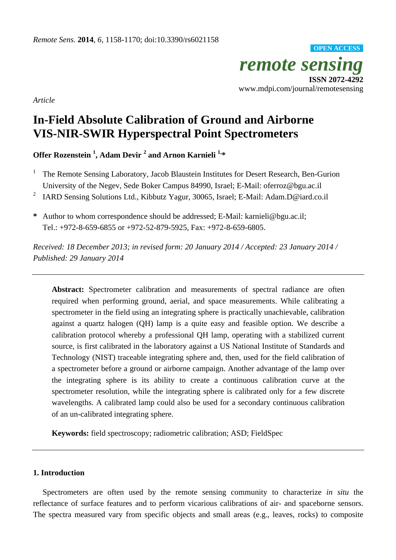*remote sensing*  **ISSN 2072-4292**  www.mdpi.com/journal/remotesensing **OPEN ACCESS**

*Article* 

# **In-Field Absolute Calibration of Ground and Airborne VIS-NIR-SWIR Hyperspectral Point Spectrometers**

**Offer Rozenstein 1 , Adam Devir 2 and Arnon Karnieli 1,\*** 

- <sup>1</sup> The Remote Sensing Laboratory, Jacob Blaustein Institutes for Desert Research, Ben-Gurion University of the Negev, Sede Boker Campus 84990, Israel; E-Mail: oferroz@bgu.ac.il
- <sup>2</sup> IARD Sensing Solutions Ltd., Kibbutz Yagur, 30065, Israel; E-Mail: Adam.D@iard.co.il
- **\*** Author to whom correspondence should be addressed; E-Mail: karnieli@bgu.ac.il; Tel.: +972-8-659-6855 or +972-52-879-5925, Fax: +972-8-659-6805.

*Received: 18 December 2013; in revised form: 20 January 2014 / Accepted: 23 January 2014 / Published: 29 January 2014* 

**Abstract:** Spectrometer calibration and measurements of spectral radiance are often required when performing ground, aerial, and space measurements. While calibrating a spectrometer in the field using an integrating sphere is practically unachievable, calibration against a quartz halogen (QH) lamp is a quite easy and feasible option. We describe a calibration protocol whereby a professional QH lamp, operating with a stabilized current source, is first calibrated in the laboratory against a US National Institute of Standards and Technology (NIST) traceable integrating sphere and, then, used for the field calibration of a spectrometer before a ground or airborne campaign. Another advantage of the lamp over the integrating sphere is its ability to create a continuous calibration curve at the spectrometer resolution, while the integrating sphere is calibrated only for a few discrete wavelengths. A calibrated lamp could also be used for a secondary continuous calibration of an un-calibrated integrating sphere.

**Keywords:** field spectroscopy; radiometric calibration; ASD; FieldSpec

# **1. Introduction**

Spectrometers are often used by the remote sensing community to characterize *in situ* the reflectance of surface features and to perform vicarious calibrations of air- and spaceborne sensors. The spectra measured vary from specific objects and small areas (e.g., leaves, rocks) to composite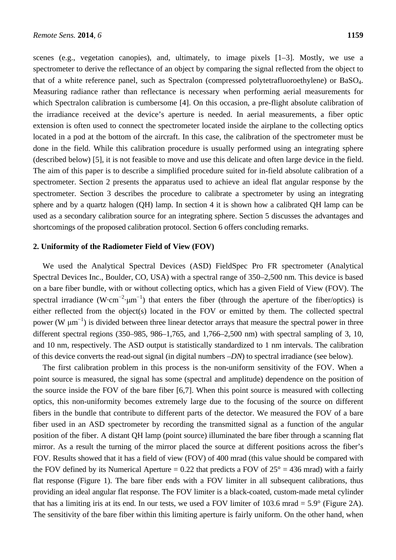scenes (e.g., vegetation canopies), and, ultimately, to image pixels [1–3]. Mostly, we use a spectrometer to derive the reflectance of an object by comparing the signal reflected from the object to that of a white reference panel, such as Spectralon (compressed polytetrafluoroethylene) or BaSO4. Measuring radiance rather than reflectance is necessary when performing aerial measurements for which Spectralon calibration is cumbersome [4]. On this occasion, a pre-flight absolute calibration of the irradiance received at the device's aperture is needed. In aerial measurements, a fiber optic extension is often used to connect the spectrometer located inside the airplane to the collecting optics located in a pod at the bottom of the aircraft. In this case, the calibration of the spectrometer must be done in the field. While this calibration procedure is usually performed using an integrating sphere (described below) [5], it is not feasible to move and use this delicate and often large device in the field. The aim of this paper is to describe a simplified procedure suited for in-field absolute calibration of a spectrometer. Section 2 presents the apparatus used to achieve an ideal flat angular response by the spectrometer. Section 3 describes the procedure to calibrate a spectrometer by using an integrating sphere and by a quartz halogen (QH) lamp. In section 4 it is shown how a calibrated QH lamp can be used as a secondary calibration source for an integrating sphere. Section 5 discusses the advantages and shortcomings of the proposed calibration protocol. Section 6 offers concluding remarks.

## **2. Uniformity of the Radiometer Field of View (FOV)**

We used the Analytical Spectral Devices (ASD) FieldSpec Pro FR spectrometer (Analytical Spectral Devices Inc., Boulder, CO, USA) with a spectral range of 350–2,500 nm. This device is based on a bare fiber bundle, with or without collecting optics, which has a given Field of View (FOV). The spectral irradiance  $(W \cdot cm^{-2} \cdot \mu m^{-1})$  that enters the fiber (through the aperture of the fiber/optics) is either reflected from the object(s) located in the FOV or emitted by them. The collected spectral power (W  $\mu$ m<sup>-1</sup>) is divided between three linear detector arrays that measure the spectral power in three different spectral regions (350–985, 986–1,765, and 1,766–2,500 nm) with spectral sampling of 3, 10, and 10 nm, respectively. The ASD output is statistically standardized to 1 nm intervals. The calibration of this device converts the read-out signal (in digital numbers –*DN*) to spectral irradiance (see below).

The first calibration problem in this process is the non-uniform sensitivity of the FOV. When a point source is measured, the signal has some (spectral and amplitude) dependence on the position of the source inside the FOV of the bare fiber [6,7]. When this point source is measured with collecting optics, this non-uniformity becomes extremely large due to the focusing of the source on different fibers in the bundle that contribute to different parts of the detector. We measured the FOV of a bare fiber used in an ASD spectrometer by recording the transmitted signal as a function of the angular position of the fiber. A distant QH lamp (point source) illuminated the bare fiber through a scanning flat mirror. As a result the turning of the mirror placed the source at different positions across the fiber's FOV. Results showed that it has a field of view (FOV) of 400 mrad (this value should be compared with the FOV defined by its Numerical Aperture = 0.22 that predicts a FOV of  $25^{\circ} = 436$  mrad) with a fairly flat response (Figure 1). The bare fiber ends with a FOV limiter in all subsequent calibrations, thus providing an ideal angular flat response. The FOV limiter is a black-coated, custom-made metal cylinder that has a limiting iris at its end. In our tests, we used a FOV limiter of 103.6 mrad = 5.9° (Figure 2A). The sensitivity of the bare fiber within this limiting aperture is fairly uniform. On the other hand, when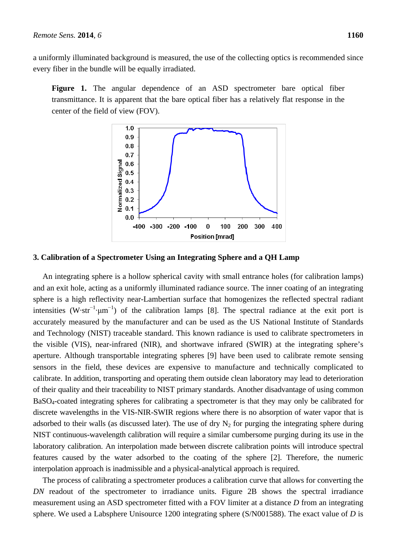a uniformly illuminated background is measured, the use of the collecting optics is recommended since every fiber in the bundle will be equally irradiated.

Figure 1. The angular dependence of an ASD spectrometer bare optical fiber transmittance. It is apparent that the bare optical fiber has a relatively flat response in the center of the field of view (FOV).



# **3. Calibration of a Spectrometer Using an Integrating Sphere and a QH Lamp**

An integrating sphere is a hollow spherical cavity with small entrance holes (for calibration lamps) and an exit hole, acting as a uniformly illuminated radiance source. The inner coating of an integrating sphere is a high reflectivity near-Lambertian surface that homogenizes the reflected spectral radiant intensities (W·str<sup>-1</sup>·µm<sup>-1</sup>) of the calibration lamps [8]. The spectral radiance at the exit port is accurately measured by the manufacturer and can be used as the US National Institute of Standards and Technology (NIST) traceable standard. This known radiance is used to calibrate spectrometers in the visible (VIS), near-infrared (NIR), and shortwave infrared (SWIR) at the integrating sphere's aperture. Although transportable integrating spheres [9] have been used to calibrate remote sensing sensors in the field, these devices are expensive to manufacture and technically complicated to calibrate. In addition, transporting and operating them outside clean laboratory may lead to deterioration of their quality and their traceability to NIST primary standards. Another disadvantage of using common BaSO4-coated integrating spheres for calibrating a spectrometer is that they may only be calibrated for discrete wavelengths in the VIS-NIR-SWIR regions where there is no absorption of water vapor that is adsorbed to their walls (as discussed later). The use of dry  $N_2$  for purging the integrating sphere during NIST continuous-wavelength calibration will require a similar cumbersome purging during its use in the laboratory calibration. An interpolation made between discrete calibration points will introduce spectral features caused by the water adsorbed to the coating of the sphere [2]. Therefore, the numeric interpolation approach is inadmissible and a physical-analytical approach is required.

The process of calibrating a spectrometer produces a calibration curve that allows for converting the *DN* readout of the spectrometer to irradiance units. Figure 2B shows the spectral irradiance measurement using an ASD spectrometer fitted with a FOV limiter at a distance *D* from an integrating sphere. We used a Labsphere Unisource 1200 integrating sphere (S/N001588). The exact value of *D* is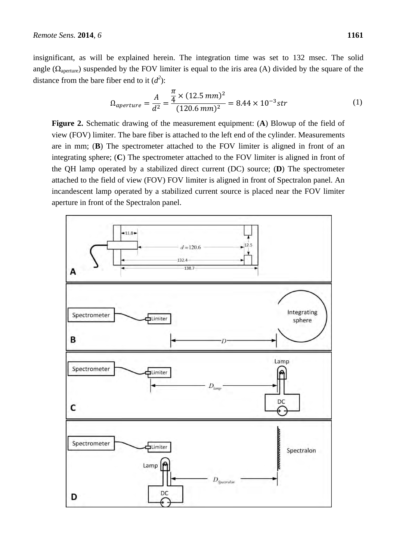insignificant, as will be explained herein. The integration time was set to 132 msec. The solid angle ( $\Omega_{\text{aperture}}$ ) suspended by the FOV limiter is equal to the iris area (A) divided by the square of the distance from the bare fiber end to it  $(d^2)$ :

$$
\Omega_{aperture} = \frac{A}{d^2} = \frac{\frac{\pi}{4} \times (12.5 \text{ mm})^2}{(120.6 \text{ mm})^2} = 8.44 \times 10^{-3} \text{str}
$$
 (1)

**Figure 2.** Schematic drawing of the measurement equipment: (**A**) Blowup of the field of view (FOV) limiter. The bare fiber is attached to the left end of the cylinder. Measurements are in mm; (**B**) The spectrometer attached to the FOV limiter is aligned in front of an integrating sphere; (**C**) The spectrometer attached to the FOV limiter is aligned in front of the QH lamp operated by a stabilized direct current (DC) source; (**D**) The spectrometer attached to the field of view (FOV) FOV limiter is aligned in front of Spectralon panel. An incandescent lamp operated by a stabilized current source is placed near the FOV limiter aperture in front of the Spectralon panel.

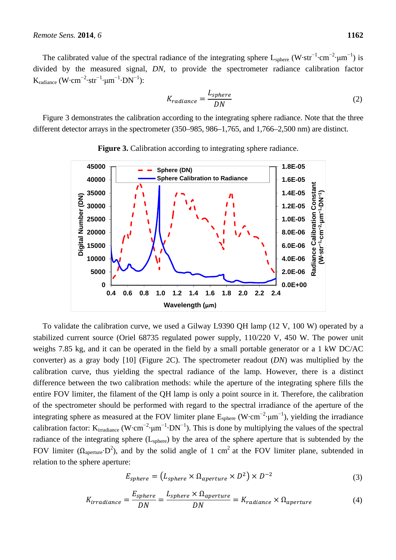The calibrated value of the spectral radiance of the integrating sphere  $L_{\text{sphere}}$  (W·str<sup>-1</sup>·cm<sup>-2</sup>·µm<sup>-1</sup>) is divided by the measured signal, *DN*, to provide the spectrometer radiance calibration factor  $K_{\text{radiance}} (W \cdot \text{cm}^{-2} \cdot \text{str}^{-1} \cdot \mu \text{m}^{-1} \cdot \text{DN}^{-1})$ :

$$
K_{radiance} = \frac{L_{sphere}}{DN}
$$
 (2)

Figure 3 demonstrates the calibration according to the integrating sphere radiance. Note that the three different detector arrays in the spectrometer (350–985, 986–1,765, and 1,766–2,500 nm) are distinct.





To validate the calibration curve, we used a Gilway L9390 QH lamp (12 V, 100 W) operated by a stabilized current source (Oriel 68735 regulated power supply, 110/220 V, 450 W. The power unit weighs 7.85 kg, and it can be operated in the field by a small portable generator or a 1 kW DC/AC converter) as a gray body [10] (Figure 2C). The spectrometer readout (*DN*) was multiplied by the calibration curve, thus yielding the spectral radiance of the lamp. However, there is a distinct difference between the two calibration methods: while the aperture of the integrating sphere fills the entire FOV limiter, the filament of the QH lamp is only a point source in it. Therefore, the calibration of the spectrometer should be performed with regard to the spectral irradiance of the aperture of the integrating sphere as measured at the FOV limiter plane  $E_{\text{sphere}}$  (W·cm<sup>-2</sup>·µm<sup>-1</sup>), yielding the irradiance calibration factor: K<sub>irradiance</sub> (W·cm<sup>-2</sup>·µm<sup>-1</sup>·DN<sup>-1</sup>). This is done by multiplying the values of the spectral radiance of the integrating sphere  $(L_{\text{sphere}})$  by the area of the sphere aperture that is subtended by the FOV limiter ( $\Omega_{\text{aperture}} \cdot D^2$ ), and by the solid angle of 1 cm<sup>2</sup> at the FOV limiter plane, subtended in relation to the sphere aperture:

$$
E_{sphere} = (L_{sphere} \times \Omega_{aperture} \times D^2) \times D^{-2}
$$
\n(3)

$$
K_{irradiance} = \frac{E_{sphere}}{DN} = \frac{L_{sphere} \times \Omega_{aperture}}{DN} = K_{radiance} \times \Omega_{aperture}
$$
(4)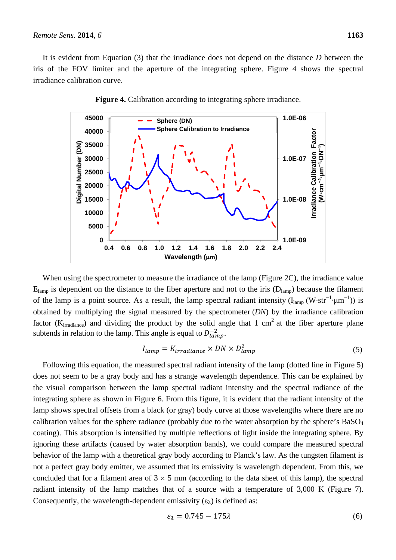It is evident from Equation (3) that the irradiance does not depend on the distance *D* between the iris of the FOV limiter and the aperture of the integrating sphere. Figure 4 shows the spectral irradiance calibration curve.





When using the spectrometer to measure the irradiance of the lamp (Figure 2C), the irradiance value  $E_{lamp}$  is dependent on the distance to the fiber aperture and not to the iris  $(D_{lamp})$  because the filament of the lamp is a point source. As a result, the lamp spectral radiant intensity ( $I_{\text{lamp}}$  (W·str<sup>-1</sup>·µm<sup>-1</sup>)) is obtained by multiplying the signal measured by the spectrometer (*DN*) by the irradiance calibration factor ( $K_{irradiance}$ ) and dividing the product by the solid angle that 1 cm<sup>2</sup> at the fiber aperture plane subtends in relation to the lamp. This angle is equal to  $D_{lamp}^{-2}$ .

$$
I_{lamp} = K_{irradiance} \times DN \times D_{lamp}^2 \tag{5}
$$

Following this equation, the measured spectral radiant intensity of the lamp (dotted line in Figure 5) does not seem to be a gray body and has a strange wavelength dependence. This can be explained by the visual comparison between the lamp spectral radiant intensity and the spectral radiance of the integrating sphere as shown in Figure 6. From this figure, it is evident that the radiant intensity of the lamp shows spectral offsets from a black (or gray) body curve at those wavelengths where there are no calibration values for the sphere radiance (probably due to the water absorption by the sphere's  $BaSO<sub>4</sub>$ coating). This absorption is intensified by multiple reflections of light inside the integrating sphere. By ignoring these artifacts (caused by water absorption bands), we could compare the measured spectral behavior of the lamp with a theoretical gray body according to Planck's law. As the tungsten filament is not a perfect gray body emitter, we assumed that its emissivity is wavelength dependent. From this, we concluded that for a filament area of  $3 \times 5$  mm (according to the data sheet of this lamp), the spectral radiant intensity of the lamp matches that of a source with a temperature of 3,000 K (Figure 7). Consequently, the wavelength-dependent emissivity  $(\epsilon_{\lambda})$  is defined as:

$$
\varepsilon_{\lambda} = 0.745 - 175\lambda\tag{6}
$$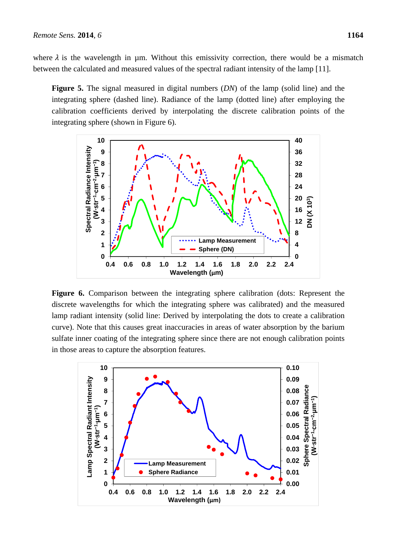where  $\lambda$  is the wavelength in  $\mu$ m. Without this emissivity correction, there would be a mismatch between the calculated and measured values of the spectral radiant intensity of the lamp [11].

**Figure 5.** The signal measured in digital numbers (*DN*) of the lamp (solid line) and the integrating sphere (dashed line). Radiance of the lamp (dotted line) after employing the calibration coefficients derived by interpolating the discrete calibration points of the integrating sphere (shown in Figure 6).



**Figure 6.** Comparison between the integrating sphere calibration (dots: Represent the discrete wavelengths for which the integrating sphere was calibrated) and the measured lamp radiant intensity (solid line: Derived by interpolating the dots to create a calibration curve). Note that this causes great inaccuracies in areas of water absorption by the barium sulfate inner coating of the integrating sphere since there are not enough calibration points in those areas to capture the absorption features.

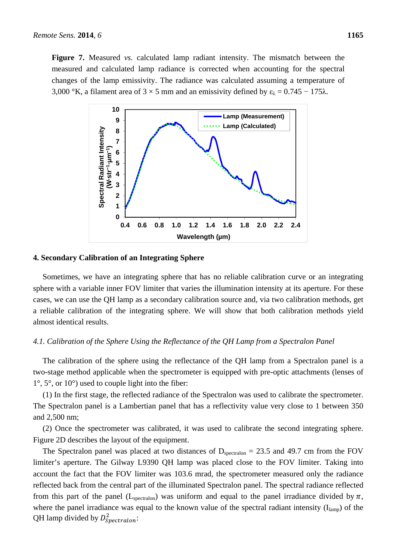**Figure 7.** Measured *vs.* calculated lamp radiant intensity. The mismatch between the measured and calculated lamp radiance is corrected when accounting for the spectral changes of the lamp emissivity. The radiance was calculated assuming a temperature of 3,000 °K, a filament area of  $3 \times 5$  mm and an emissivity defined by  $\varepsilon_{\lambda} = 0.745 - 175\lambda$ .



#### **4. Secondary Calibration of an Integrating Sphere**

Sometimes, we have an integrating sphere that has no reliable calibration curve or an integrating sphere with a variable inner FOV limiter that varies the illumination intensity at its aperture. For these cases, we can use the QH lamp as a secondary calibration source and, via two calibration methods, get a reliable calibration of the integrating sphere. We will show that both calibration methods yield almost identical results.

#### *4.1. Calibration of the Sphere Using the Reflectance of the QH Lamp from a Spectralon Panel*

The calibration of the sphere using the reflectance of the QH lamp from a Spectralon panel is a two-stage method applicable when the spectrometer is equipped with pre-optic attachments (lenses of  $1^\circ$ ,  $5^\circ$ , or  $10^\circ$ ) used to couple light into the fiber:

(1) In the first stage, the reflected radiance of the Spectralon was used to calibrate the spectrometer. The Spectralon panel is a Lambertian panel that has a reflectivity value very close to 1 between 350 and 2,500 nm;

(2) Once the spectrometer was calibrated, it was used to calibrate the second integrating sphere. Figure 2D describes the layout of the equipment.

The Spectralon panel was placed at two distances of  $D_{\text{spectralon}} = 23.5$  and 49.7 cm from the FOV limiter's aperture. The Gilway L9390 QH lamp was placed close to the FOV limiter. Taking into account the fact that the FOV limiter was 103.6 mrad, the spectrometer measured only the radiance reflected back from the central part of the illuminated Spectralon panel. The spectral radiance reflected from this part of the panel (L<sub>spectralon</sub>) was uniform and equal to the panel irradiance divided by  $\pi$ , where the panel irradiance was equal to the known value of the spectral radiant intensity  $(I_{\text{lamp}})$  of the QH lamp divided by  $D_{Spectral on}^2$ :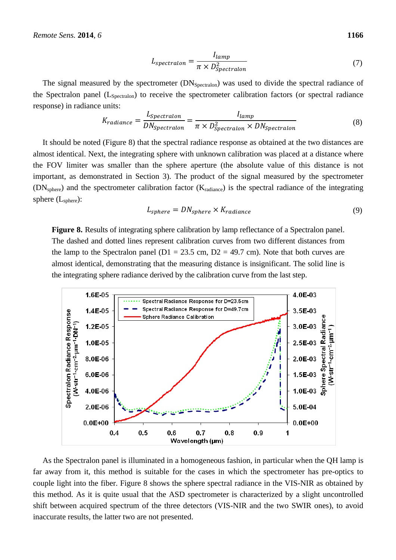$$
L_{spectralon} = \frac{I_{lamp}}{\pi \times D_{Spectralon}^2}
$$
\n(7)

The signal measured by the spectrometer (DN<sub>Spectralon</sub>) was used to divide the spectral radiance of the Spectralon panel  $(L_{Spectralon})$  to receive the spectrometer calibration factors (or spectral radiance response) in radiance units:

$$
K_{radiance} = \frac{L_{spectralon}}{DN_{spectralon}} = \frac{I_{lamp}}{\pi \times D_{Spectralon}^2 \times DN_{Spectralon}}
$$
(8)

It should be noted (Figure 8) that the spectral radiance response as obtained at the two distances are almost identical. Next, the integrating sphere with unknown calibration was placed at a distance where the FOV limiter was smaller than the sphere aperture (the absolute value of this distance is not important, as demonstrated in Section 3). The product of the signal measured by the spectrometer (DNsphere) and the spectrometer calibration factor (Kradiance) is the spectral radiance of the integrating sphere  $(L_{\text{sphere}})$ :

$$
L_{sphere} = DN_{sphere} \times K_{radiance}
$$
\n(9)

Figure 8. Results of integrating sphere calibration by lamp reflectance of a Spectralon panel. The dashed and dotted lines represent calibration curves from two different distances from the lamp to the Spectralon panel ( $D1 = 23.5$  cm,  $D2 = 49.7$  cm). Note that both curves are almost identical, demonstrating that the measuring distance is insignificant. The solid line is the integrating sphere radiance derived by the calibration curve from the last step.



As the Spectralon panel is illuminated in a homogeneous fashion, in particular when the QH lamp is far away from it, this method is suitable for the cases in which the spectrometer has pre-optics to couple light into the fiber. Figure 8 shows the sphere spectral radiance in the VIS-NIR as obtained by this method. As it is quite usual that the ASD spectrometer is characterized by a slight uncontrolled shift between acquired spectrum of the three detectors (VIS-NIR and the two SWIR ones), to avoid inaccurate results, the latter two are not presented.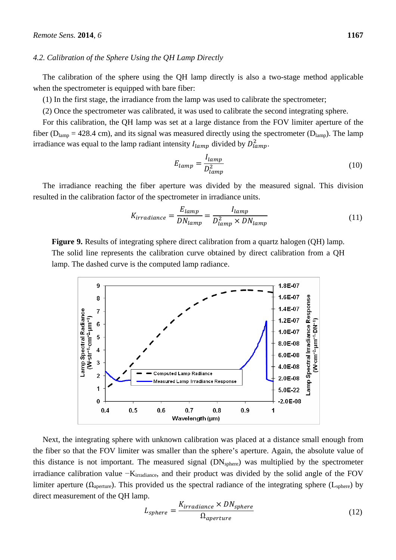#### *4.2. Calibration of the Sphere Using the QH Lamp Directly*

The calibration of the sphere using the QH lamp directly is also a two-stage method applicable when the spectrometer is equipped with bare fiber:

(1) In the first stage, the irradiance from the lamp was used to calibrate the spectrometer;

(2) Once the spectrometer was calibrated, it was used to calibrate the second integrating sphere.

For this calibration, the QH lamp was set at a large distance from the FOV limiter aperture of the fiber ( $D<sub>lamp</sub> = 428.4$  cm), and its signal was measured directly using the spectrometer ( $D<sub>lamp</sub>$ ). The lamp irradiance was equal to the lamp radiant intensity  $I_{lamp}$  divided by  $D_{lamp}^2$ .

$$
E_{lamp} = \frac{I_{lamp}}{D_{lamp}^2} \tag{10}
$$

The irradiance reaching the fiber aperture was divided by the measured signal. This division resulted in the calibration factor of the spectrometer in irradiance units.

$$
K_{irradiance} = \frac{E_{lamp}}{DN_{lamp}} = \frac{I_{lamp}}{D_{lamp}^2 \times DN_{lamp}} \tag{11}
$$

**Figure 9.** Results of integrating sphere direct calibration from a quartz halogen (QH) lamp. The solid line represents the calibration curve obtained by direct calibration from a QH lamp. The dashed curve is the computed lamp radiance.



Next, the integrating sphere with unknown calibration was placed at a distance small enough from the fiber so that the FOV limiter was smaller than the sphere's aperture. Again, the absolute value of this distance is not important. The measured signal  $(DN<sub>sphere</sub>)$  was multiplied by the spectrometer irradiance calibration value −K<sub>irradiance</sub>, and their product was divided by the solid angle of the FOV limiter aperture ( $\Omega_{\text{aperture}}$ ). This provided us the spectral radiance of the integrating sphere ( $L_{\text{sphere}}$ ) by direct measurement of the QH lamp.

$$
L_{sphere} = \frac{K_{irradiance} \times DN_{sphere}}{\Omega_{aperture}} \tag{12}
$$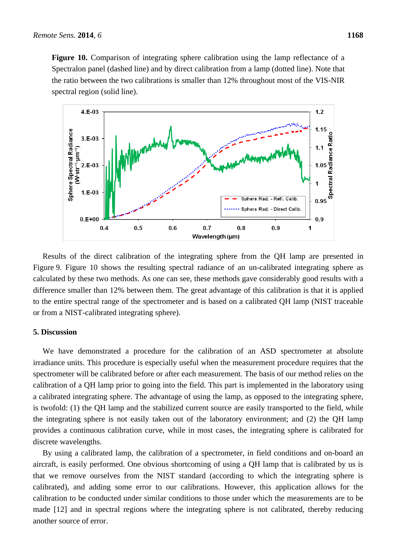Figure 10. Comparison of integrating sphere calibration using the lamp reflectance of a Spectralon panel (dashed line) and by direct calibration from a lamp (dotted line). Note that the ratio between the two calibrations is smaller than 12% throughout most of the VIS-NIR spectral region (solid line).



Results of the direct calibration of the integrating sphere from the QH lamp are presented in Figure 9. Figure 10 shows the resulting spectral radiance of an un-calibrated integrating sphere as calculated by these two methods. As one can see, these methods gave considerably good results with a difference smaller than 12% between them. The great advantage of this calibration is that it is applied to the entire spectral range of the spectrometer and is based on a calibrated QH lamp (NIST traceable or from a NIST-calibrated integrating sphere).

# **5. Discussion**

We have demonstrated a procedure for the calibration of an ASD spectrometer at absolute irradiance units. This procedure is especially useful when the measurement procedure requires that the spectrometer will be calibrated before or after each measurement. The basis of our method relies on the calibration of a QH lamp prior to going into the field. This part is implemented in the laboratory using a calibrated integrating sphere. The advantage of using the lamp, as opposed to the integrating sphere, is twofold: (1) the QH lamp and the stabilized current source are easily transported to the field, while the integrating sphere is not easily taken out of the laboratory environment; and (2) the QH lamp provides a continuous calibration curve, while in most cases, the integrating sphere is calibrated for discrete wavelengths.

By using a calibrated lamp, the calibration of a spectrometer, in field conditions and on-board an aircraft, is easily performed. One obvious shortcoming of using a QH lamp that is calibrated by us is that we remove ourselves from the NIST standard (according to which the integrating sphere is calibrated), and adding some error to our calibrations. However, this application allows for the calibration to be conducted under similar conditions to those under which the measurements are to be made [12] and in spectral regions where the integrating sphere is not calibrated, thereby reducing another source of error.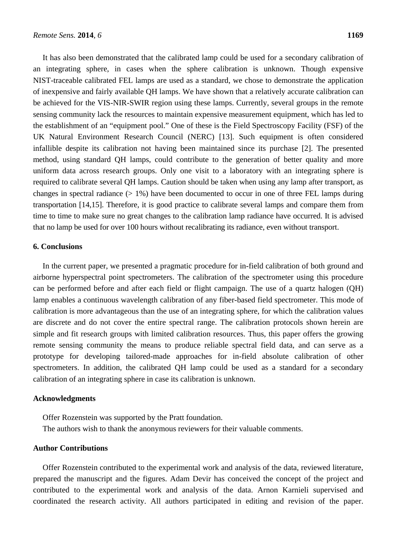It has also been demonstrated that the calibrated lamp could be used for a secondary calibration of an integrating sphere, in cases when the sphere calibration is unknown. Though expensive NIST-traceable calibrated FEL lamps are used as a standard, we chose to demonstrate the application of inexpensive and fairly available QH lamps. We have shown that a relatively accurate calibration can be achieved for the VIS-NIR-SWIR region using these lamps. Currently, several groups in the remote sensing community lack the resources to maintain expensive measurement equipment, which has led to the establishment of an "equipment pool." One of these is the Field Spectroscopy Facility (FSF) of the UK Natural Environment Research Council (NERC) [13]. Such equipment is often considered infallible despite its calibration not having been maintained since its purchase [2]. The presented method, using standard QH lamps, could contribute to the generation of better quality and more uniform data across research groups. Only one visit to a laboratory with an integrating sphere is required to calibrate several QH lamps. Caution should be taken when using any lamp after transport, as changes in spectral radiance  $(> 1\%)$  have been documented to occur in one of three FEL lamps during transportation [14,15]. Therefore, it is good practice to calibrate several lamps and compare them from time to time to make sure no great changes to the calibration lamp radiance have occurred. It is advised that no lamp be used for over 100 hours without recalibrating its radiance, even without transport.

# **6. Conclusions**

In the current paper, we presented a pragmatic procedure for in-field calibration of both ground and airborne hyperspectral point spectrometers. The calibration of the spectrometer using this procedure can be performed before and after each field or flight campaign. The use of a quartz halogen (QH) lamp enables a continuous wavelength calibration of any fiber-based field spectrometer. This mode of calibration is more advantageous than the use of an integrating sphere, for which the calibration values are discrete and do not cover the entire spectral range. The calibration protocols shown herein are simple and fit research groups with limited calibration resources. Thus, this paper offers the growing remote sensing community the means to produce reliable spectral field data, and can serve as a prototype for developing tailored-made approaches for in-field absolute calibration of other spectrometers. In addition, the calibrated QH lamp could be used as a standard for a secondary calibration of an integrating sphere in case its calibration is unknown.

#### **Acknowledgments**

Offer Rozenstein was supported by the Pratt foundation. The authors wish to thank the anonymous reviewers for their valuable comments.

#### **Author Contributions**

Offer Rozenstein contributed to the experimental work and analysis of the data, reviewed literature, prepared the manuscript and the figures. Adam Devir has conceived the concept of the project and contributed to the experimental work and analysis of the data. Arnon Karnieli supervised and coordinated the research activity. All authors participated in editing and revision of the paper.